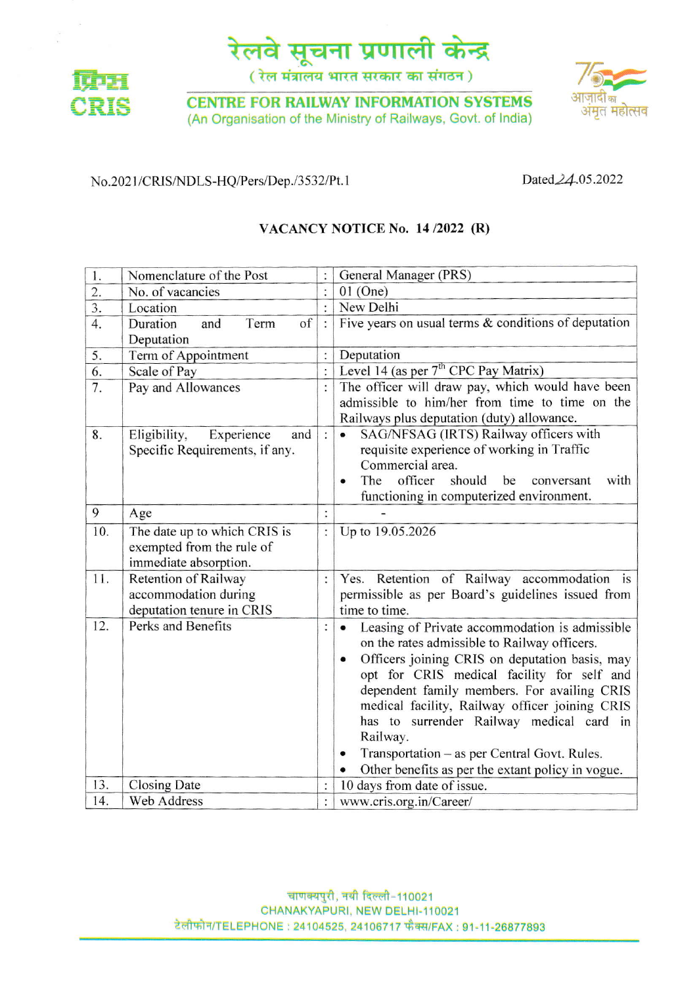

(रेल मंत्रालय भारत सरकार का संगठन)



**CENTRE FOR RAILWAY INFORMATION SYSTEMS** (An Organisation of the Ministry of Railways, Govt. of India)



### No.2021/CRIS/NDLS-HQ/Pers/Dep./3532/Pt.1

Dated 24.05.2022

## VACANCY NOTICE No. 14/2022 (R)

| 1.               | Nomenclature of the Post                                                           |                      | General Manager (PRS)                                                                                                                                                                                                                                                                                                                                                                                                                                                     |  |
|------------------|------------------------------------------------------------------------------------|----------------------|---------------------------------------------------------------------------------------------------------------------------------------------------------------------------------------------------------------------------------------------------------------------------------------------------------------------------------------------------------------------------------------------------------------------------------------------------------------------------|--|
| $\overline{2}$ . | No. of vacancies                                                                   |                      | $01$ (One)                                                                                                                                                                                                                                                                                                                                                                                                                                                                |  |
| $\overline{3}$ . | Location                                                                           |                      | New Delhi                                                                                                                                                                                                                                                                                                                                                                                                                                                                 |  |
| $\overline{4}$ . | of<br>Term<br>Duration<br>and<br>Deputation                                        | $\tilde{z}$          | Five years on usual terms $\&$ conditions of deputation                                                                                                                                                                                                                                                                                                                                                                                                                   |  |
| 5.               | Term of Appointment                                                                |                      | Deputation                                                                                                                                                                                                                                                                                                                                                                                                                                                                |  |
| 6.               | Scale of Pay                                                                       | $\ddot{\cdot}$       | Level 14 (as per $7th$ CPC Pay Matrix)                                                                                                                                                                                                                                                                                                                                                                                                                                    |  |
| 7.               | Pay and Allowances                                                                 | $\ddot{\phantom{a}}$ | The officer will draw pay, which would have been<br>admissible to him/her from time to time on the<br>Railways plus deputation (duty) allowance.                                                                                                                                                                                                                                                                                                                          |  |
| 8.               | and<br>Eligibility,<br>Experience<br>Specific Requirements, if any.                | $\vdots$             | SAG/NFSAG (IRTS) Railway officers with<br>requisite experience of working in Traffic<br>Commercial area.<br>officer<br>should<br>with<br>The<br>be<br>conversant<br>functioning in computerized environment.                                                                                                                                                                                                                                                              |  |
| 9                | Age                                                                                |                      |                                                                                                                                                                                                                                                                                                                                                                                                                                                                           |  |
| 10.              | The date up to which CRIS is<br>exempted from the rule of<br>immediate absorption. | $\vdots$             | Up to 19.05.2026                                                                                                                                                                                                                                                                                                                                                                                                                                                          |  |
| 11.              | Retention of Railway<br>accommodation during<br>deputation tenure in CRIS          | $\vdots$             | Yes. Retention of Railway accommodation is<br>permissible as per Board's guidelines issued from<br>time to time.                                                                                                                                                                                                                                                                                                                                                          |  |
| 12.              | Perks and Benefits                                                                 |                      | Leasing of Private accommodation is admissible<br>on the rates admissible to Railway officers.<br>Officers joining CRIS on deputation basis, may<br>$\bullet$<br>opt for CRIS medical facility for self and<br>dependent family members. For availing CRIS<br>medical facility, Railway officer joining CRIS<br>has to surrender Railway medical card in<br>Railway.<br>Transportation – as per Central Govt. Rules.<br>Other benefits as per the extant policy in vogue. |  |
| 13.              | <b>Closing Date</b>                                                                |                      | 10 days from date of issue.                                                                                                                                                                                                                                                                                                                                                                                                                                               |  |
| 14.              | <b>Web Address</b>                                                                 | $\ddot{\cdot}$       | www.cris.org.in/Career/                                                                                                                                                                                                                                                                                                                                                                                                                                                   |  |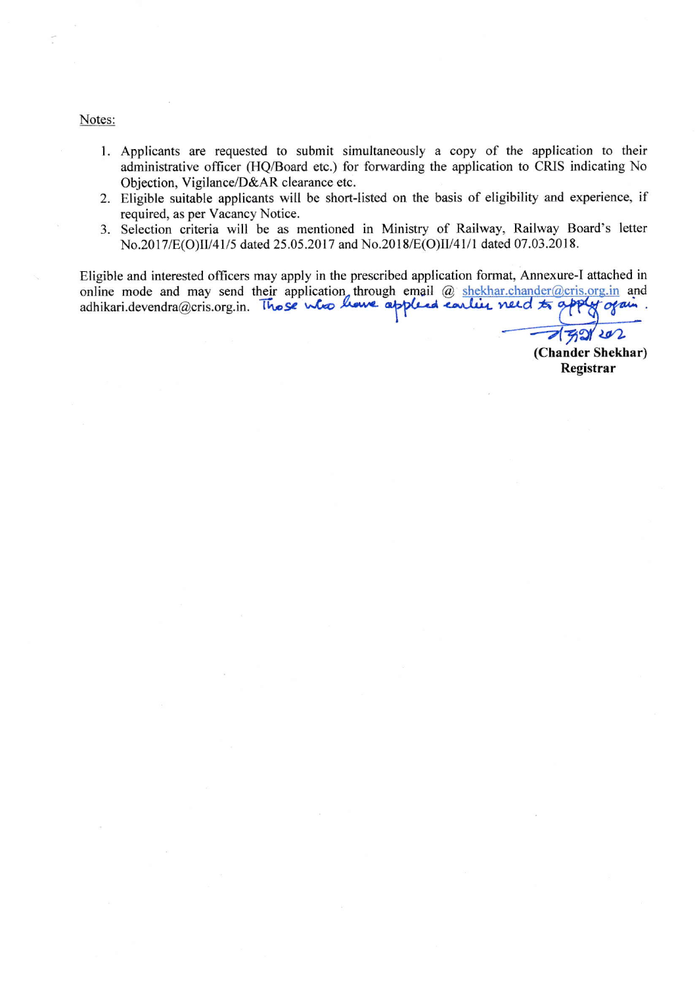Notes:

- 1. Applicants are requested to submit simultaneously a copy of the application to their administrative officer (HQ/Board etc.) for forwarding the application to CRIS indicating No Objection, Vigilance/D&AR clearance etc.
- 2. Eligible suitable applicants will be short-listed on the basis of eligibility and experience, if required, as per Vacancy Notice.
- 3. Selection criteria will be as mentioned in Ministry of Railway, Railway Board's letter No.2017/E(O)II/41/5 dated 25.05.2017 and No.2018/E(O)II/41/1 dated 07.03.2018.

Eligible and interested officers may apply in the prescribed application format, Annexure-I attached in online mode and may send their application through email @ shekhar.chander@cris.org.in and<br>adhikari.devendra@cris.org.in. These who have appleed earlier need to apply of air

 $202$  $77$ 

(Chander Shekhar) Registrar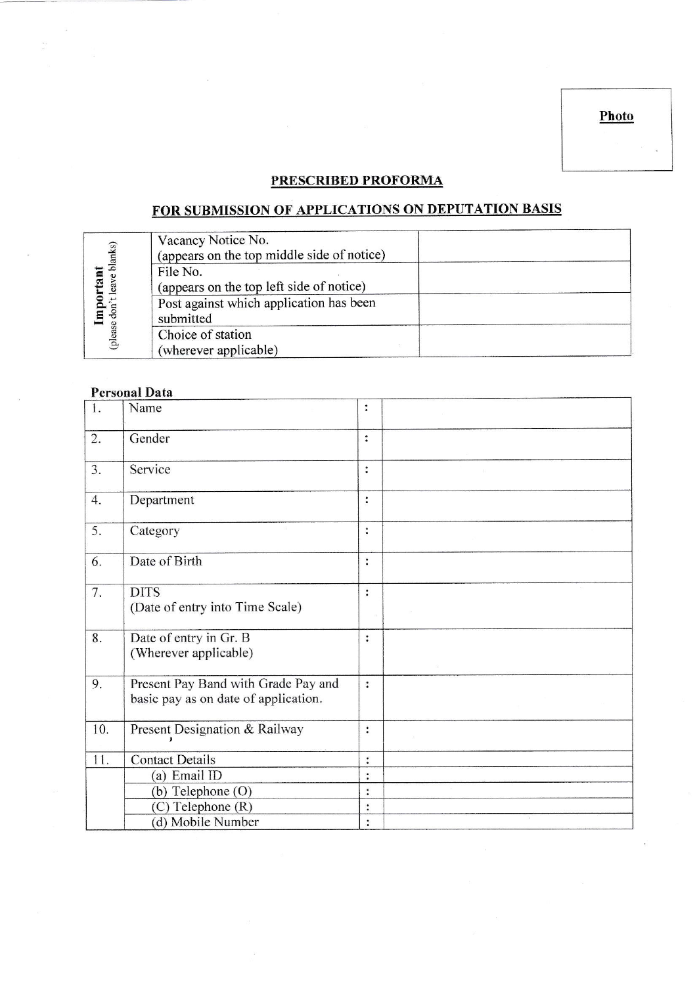Photo

# PRESCRIBED PROFORMA

# FOR SUBMISSION OF APPLICATIONS ON DEPUTATION BASIS

| blanks) | Vacancy Notice No.<br>(appears on the top middle side of notice) |  |
|---------|------------------------------------------------------------------|--|
|         | File No.                                                         |  |
| ĉ.      | (appears on the top left side of notice)                         |  |
| ∼       | Post against which application has been                          |  |
| ε       | submitted                                                        |  |
| (please | Choice of station                                                |  |
|         | (wherever applicable)                                            |  |

## **Personal Data**

| 1.               | Name                                                                        | :              |  |
|------------------|-----------------------------------------------------------------------------|----------------|--|
| $\overline{2}$ . | Gender                                                                      | :              |  |
| 3.               | Service                                                                     | $\ddot{\cdot}$ |  |
| 4.               | Department                                                                  | $\ddot{\cdot}$ |  |
| 5.               | Category                                                                    | $\ddot{\cdot}$ |  |
| 6.               | Date of Birth                                                               | $\ddot{\cdot}$ |  |
| 7.               | <b>DITS</b><br>(Date of entry into Time Scale)                              | $\ddot{\cdot}$ |  |
| 8.               | Date of entry in Gr. B<br>(Wherever applicable)                             | $\ddot{\cdot}$ |  |
| 9.               | Present Pay Band with Grade Pay and<br>basic pay as on date of application. | $\ddot{\cdot}$ |  |
| 10.              | Present Designation & Railway                                               | $\ddot{\cdot}$ |  |
| 11.              | <b>Contact Details</b>                                                      | $\ddot{\cdot}$ |  |
|                  | (a) Email ID                                                                | $\bullet$      |  |
|                  | (b) Telephone (O)                                                           | :              |  |
|                  | (C) Telephone (R)                                                           | $\ddot{\cdot}$ |  |
|                  | (d) Mobile Number                                                           | $\ddot{\cdot}$ |  |